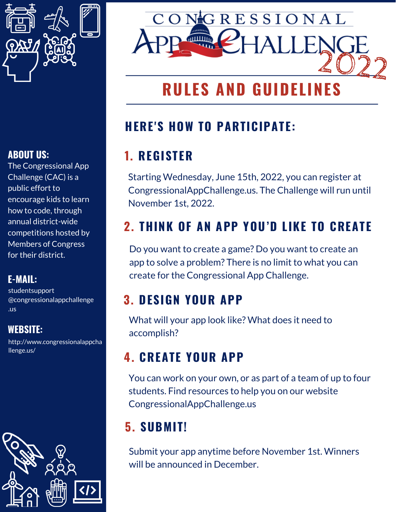

### **ABOUT US:**

The Congressional App Challenge (CAC) is a public effort to encourage kids to learn how to code, through annual district-wide competitions hosted by Members of Congress for their district.

#### **E-MAIL:**

studentsupport @congressionalappchallenge .us

### **WEBSITE:**

http://www.congressionalappcha llenge.us/





# **RULES AND GUIDEL**

## **HERE'S HOW TO PARTICIPATE:**

# **1. REGISTER**

Starting Wednesday, June 15th, 2022, you can register at CongressionalAppChallenge.us. The Challenge will run until November 1st, 2022.

# **2. THINK OF AN APP YOU'D LIKE TO CREATE**

Do you want to create a game? Do you want to create an app to solve a problem? There is no limit to what you can create for the Congressional App Challenge.

## **3. DESIGN YOUR APP**

What will your app look like? What does it need to accomplish?

## **4. CREATE YOUR APP**

You can work on your own, or as part of a team of up to four students. Find resources to help you on our website CongressionalAppChallenge.us

## **5. SUBMIT!**

Submit your app anytime before November 1st. Winners will be announced in December.